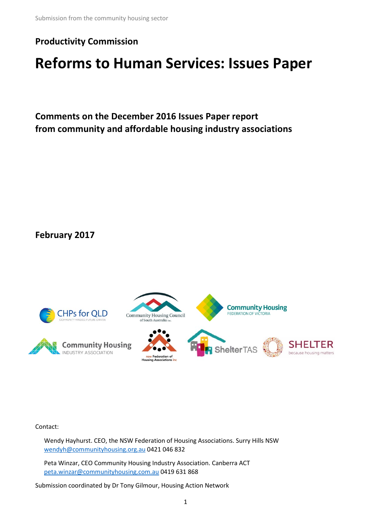### **Productivity Commission**

# **Reforms to Human Services: Issues Paper**

**Comments on the December 2016 Issues Paper report from community and affordable housing industry associations**

**February 2017**



Contact:

Wendy Hayhurst. CEO, the NSW Federation of Housing Associations. Surry Hills NSW [wendyh@communityhousing.org.au](mailto:wendyh@communityhousing.org.au) 0421 046 832

Peta Winzar, CEO Community Housing Industry Association. Canberra ACT [peta.winzar@communityhousing.com.au](mailto:peta.winzar@communityhousing.com.au) 0419 631 868

Submission coordinated by Dr Tony Gilmour, Housing Action Network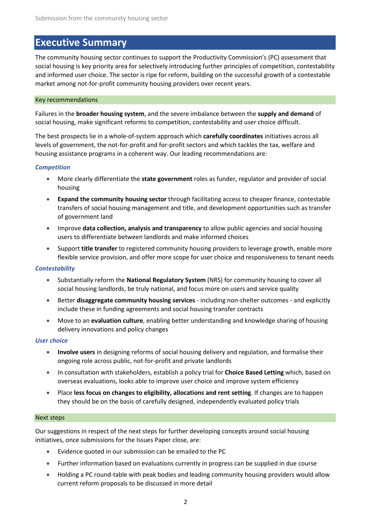### **Executive Summary**

The community housing sector continues to support the Productivity Commission's (PC) assessment that social housing is key priority area for selectively introducing further principles of competition, contestability and informed user choice. The sector is ripe for reform, building on the successful growth of a contestable market among not-for-profit community housing providers over recent years.

### Key recommendations

Failures in the **broader housing system**, and the severe imbalance between the **supply and demand** of social housing, make significant reforms to competition, contestability and user choice difficult.

The best prospects lie in a whole-of-system approach which **carefully coordinates** initiatives across all levels of government, the not-for-profit and for-profit sectors and which tackles the tax, welfare and housing assistance programs in a coherent way. Our leading recommendations are:

### *Competition*

- More clearly differentiate the **state government** roles as funder, regulator and provider of social housing
- **Expand the community housing sector** through facilitating access to cheaper finance, contestable transfers of social housing management and title, and development opportunities such as transfer of government land
- Improve **data collection, analysis and transparency** to allow public agencies and social housing users to differentiate between landlords and make informed choices
- Support **title transfer** to registered community housing providers to leverage growth, enable more flexible service provision, and offer more scope for user choice and responsiveness to tenant needs

### *Contestability*

- Substantially reform the **National Regulatory System** (NRS) for community housing to cover all social housing landlords, be truly national, and focus more on users and service quality
- Better **disaggregate community housing services** including non-shelter outcomes and explicitly include these in funding agreements and social housing transfer contracts
- Move to an **evaluation culture**, enabling better understanding and knowledge sharing of housing delivery innovations and policy changes

#### *User choice*

- **Involve users** in designing reforms of social housing delivery and regulation, and formalise their ongoing role across public, not-for-profit and private landlords
- In consultation with stakeholders, establish a policy trial for **Choice Based Letting** which, based on overseas evaluations, looks able to improve user choice and improve system efficiency
- Place **less focus on changes to eligibility, allocations and rent setting**. If changes are to happen they should be on the basis of carefully designed, independently evaluated policy trials

#### Next steps

Our suggestions in respect of the next steps for further developing concepts around social housing initiatives, once submissions for the Issues Paper close, are:

- Evidence quoted in our submission can be emailed to the PC
- Further information based on evaluations currently in progress can be supplied in due course
- Holding a PC round-table with peak bodies and leading community housing providers would allow current reform proposals to be discussed in more detail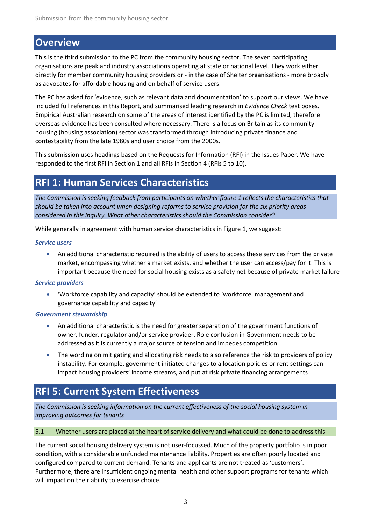### **Overview**

This is the third submission to the PC from the community housing sector. The seven participating organisations are peak and industry associations operating at state or national level. They work either directly for member community housing providers or - in the case of Shelter organisations - more broadly as advocates for affordable housing and on behalf of service users.

The PC has asked for 'evidence, such as relevant data and documentation' to support our views. We have included full references in this Report, and summarised leading research in *Evidence Check* text boxes. Empirical Australian research on some of the areas of interest identified by the PC is limited, therefore overseas evidence has been consulted where necessary. There is a focus on Britain as its community housing (housing association) sector was transformed through introducing private finance and contestability from the late 1980s and user choice from the 2000s.

This submission uses headings based on the Requests for Information (RFI) in the Issues Paper. We have responded to the first RFI in Section 1 and all RFIs in Section 4 (RFIs 5 to 10).

### **RFI 1: Human Services Characteristics**

*The Commission is seeking feedback from participants on whether figure 1 reflects the characteristics that should be taken into account when designing reforms to service provision for the six priority areas considered in this inquiry. What other characteristics should the Commission consider?*

While generally in agreement with human service characteristics in Figure 1, we suggest:

### *Service users*

• An additional characteristic required is the ability of users to access these services from the private market, encompassing whether a market exists, and whether the user can access/pay for it. This is important because the need for social housing exists as a safety net because of private market failure

### *Service providers*

• 'Workforce capability and capacity' should be extended to 'workforce, management and governance capability and capacity'

### *Government stewardship*

- An additional characteristic is the need for greater separation of the government functions of owner, funder, regulator and/or service provider. Role confusion in Government needs to be addressed as it is currently a major source of tension and impedes competition
- The wording on mitigating and allocating risk needs to also reference the risk to providers of policy instability. For example, government initiated changes to allocation policies or rent settings can impact housing providers' income streams, and put at risk private financing arrangements

# **RFI 5: Current System Effectiveness**

*The Commission is seeking information on the current effectiveness of the social housing system in improving outcomes for tenants*

#### 5.1 Whether users are placed at the heart of service delivery and what could be done to address this

The current social housing delivery system is not user-focussed. Much of the property portfolio is in poor condition, with a considerable unfunded maintenance liability. Properties are often poorly located and configured compared to current demand. Tenants and applicants are not treated as 'customers'. Furthermore, there are insufficient ongoing mental health and other support programs for tenants which will impact on their ability to exercise choice.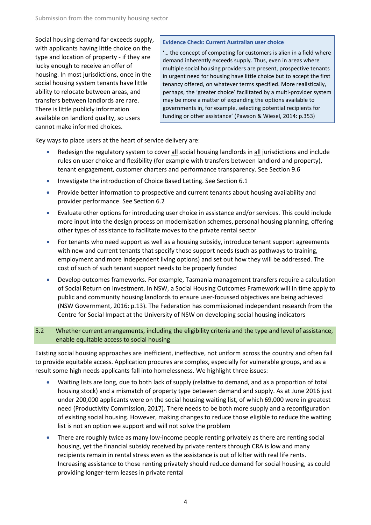Social housing demand far exceeds supply, with applicants having little choice on the type and location of property - if they are lucky enough to receive an offer of housing. In most jurisdictions, once in the social housing system tenants have little ability to relocate between areas, and transfers between landlords are rare. There is little publicly information available on landlord quality, so users cannot make informed choices.

### **Evidence Check: Current Australian user choice**

'… the concept of competing for customers is alien in a field where demand inherently exceeds supply. Thus, even in areas where multiple social housing providers are present, prospective tenants in urgent need for housing have little choice but to accept the first tenancy offered, on whatever terms specified. More realistically, perhaps, the 'greater choice' facilitated by a multi-provider system may be more a matter of expanding the options available to governments in, for example, selecting potential recipients for funding or other assistance' [\(Pawson & Wiesel, 2014: p.353\)](#page-26-1)

Key ways to place users at the heart of service delivery are:

- Redesign the regulatory system to cover all social housing landlords in all jurisdictions and include rules on user choice and flexibility (for example with transfers between landlord and property), tenant engagement, customer charters and performance transparency. See Section 9.6
- Investigate the introduction of Choice Based Letting. See Section 6.1
- Provide better information to prospective and current tenants about housing availability and provider performance. See Section 6.2
- Evaluate other options for introducing user choice in assistance and/or services. This could include more input into the design process on modernisation schemes, personal housing planning, offering other types of assistance to facilitate moves to the private rental sector
- For tenants who need support as well as a housing subsidy, introduce tenant support agreements with new and current tenants that specify those support needs (such as pathways to training, employment and more independent living options) and set out how they will be addressed. The cost of such of such tenant support needs to be properly funded
- Develop outcomes frameworks. For example, Tasmania management transfers require a calculation of Social Return on Investment. In NSW, a Social Housing Outcomes Framework will in time apply to public and community housing landlords to ensure user-focussed objectives are being achieved [\(NSW Government, 2016: p.13\)](#page-25-0). The Federation has commissioned independent research from the Centre for Social Impact at the University of NSW on developing social housing indicators

### 5.2 Whether current arrangements, including the eligibility criteria and the type and level of assistance, enable equitable access to social housing

Existing social housing approaches are inefficient, ineffective, not uniform across the country and often fail to provide equitable access. Application procures are complex, especially for vulnerable groups, and as a result some high needs applicants fall into homelessness. We highlight three issues:

- Waiting lists are long, due to both lack of supply (relative to demand, and as a proportion of total housing stock) and a mismatch of property type between demand and supply. As at June 2016 just under 200,000 applicants were on the social housing waiting list, of which 69,000 were in greatest need [\(Productivity Commission, 2017\)](#page-26-0). There needs to be both more supply and a reconfiguration of existing social housing. However, making changes to reduce those eligible to reduce the waiting list is not an option we support and will not solve the problem
- There are roughly twice as many low-income people renting privately as there are renting social housing, yet the financial subsidy received by private renters through CRA is low and many recipients remain in rental stress even as the assistance is out of kilter with real life rents. Increasing assistance to those renting privately should reduce demand for social housing, as could providing longer-term leases in private rental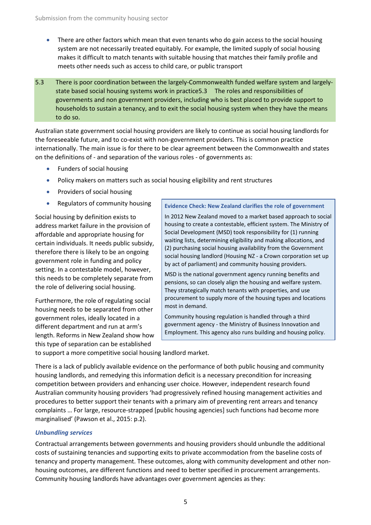- There are other factors which mean that even tenants who do gain access to the social housing system are not necessarily treated equitably. For example, the limited supply of social housing makes it difficult to match tenants with suitable housing that matches their family profile and meets other needs such as access to child care, or public transport
- 5.3 There is poor coordination between the largely-Commonwealth funded welfare system and largelystate based social housing systems work in practice5.3 The roles and responsibilities of governments and non government providers, including who is best placed to provide support to households to sustain a tenancy, and to exit the social housing system when they have the means to do so.

Australian state government social housing providers are likely to continue as social housing landlords for the foreseeable future, and to co-exist with non-government providers. This is common practice internationally. The main issue is for there to be clear agreement between the Commonwealth and states on the definitions of - and separation of the various roles - of governments as:

- Funders of social housing
- Policy makers on matters such as social housing eligibility and rent structures
- Providers of social housing
- Regulators of community housing

Social housing by definition exists to address market failure in the provision of affordable and appropriate housing for certain individuals. It needs public subsidy, therefore there is likely to be an ongoing government role in funding and policy setting. In a contestable model, however, this needs to be completely separate from the role of delivering social housing.

Furthermore, the role of regulating social housing needs to be separated from other government roles, ideally located in a different department and run at arm's length. Reforms in New Zealand show how this type of separation can be established

**Evidence Check: New Zealand clarifies the role of government**

In 2012 New Zealand moved to a market based approach to social housing to create a contestable, efficient system. The Ministry of Social Development (MSD) took responsibility for (1) running waiting lists, determining eligibility and making allocations, and (2) purchasing social housing availability from the Government social housing landlord (Housing NZ - a Crown corporation set up by act of parliament) and community housing providers.

MSD is the national government agency running benefits and pensions, so can closely align the housing and welfare system. They strategically match tenants with properties, and use procurement to supply more of the housing types and locations most in demand.

Community housing regulation is handled through a third government agency - the Ministry of Business Innovation and Employment. This agency also runs building and housing policy.

to support a more competitive social housing landlord market.

There is a lack of publicly available evidence on the performance of both public housing and community housing landlords, and remedying this information deficit is a necessary precondition for increasing competition between providers and enhancing user choice. However, independent research found Australian community housing providers 'had progressively refined housing management activities and procedures to better support their tenants with a primary aim of preventing rent arrears and tenancy complaints … For large, resource-strapped [public housing agencies] such functions had become more marginalised' [\(Pawson et al., 2015: p.2\)](#page-26-2).

### *Unbundling services*

Contractual arrangements between governments and housing providers should unbundle the additional costs of sustaining tenancies and supporting exits to private accommodation from the baseline costs of tenancy and property management. These outcomes, along with community development and other nonhousing outcomes, are different functions and need to better specified in procurement arrangements. Community housing landlords have advantages over government agencies as they: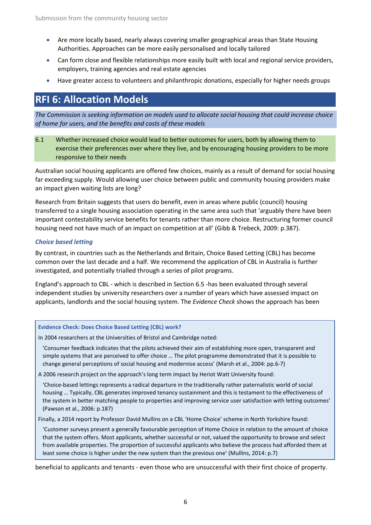- Are more locally based, nearly always covering smaller geographical areas than State Housing Authorities. Approaches can be more easily personalised and locally tailored
- Can form close and flexible relationships more easily built with local and regional service providers, employers, training agencies and real estate agencies
- Have greater access to volunteers and philanthropic donations, especially for higher needs groups

# **RFI 6: Allocation Models**

*The Commission is seeking information on models used to allocate social housing that could increase choice of home for users, and the benefits and costs of these models*

6.1 Whether increased choice would lead to better outcomes for users, both by allowing them to exercise their preferences over where they live, and by encouraging housing providers to be more responsive to their needs

Australian social housing applicants are offered few choices, mainly as a result of demand for social housing far exceeding supply. Would allowing user choice between public and community housing providers make an impact given waiting lists are long?

Research from Britain suggests that users do benefit, even in areas where public (council) housing transferred to a single housing association operating in the same area such that 'arguably there have been important contestability service benefits for tenants rather than more choice. Restructuring former council housing need not have much of an impact on competition at all' [\(Gibb & Trebeck, 2009: p.387\)](#page-25-1).

### *Choice based letting*

By contrast, in countries such as the Netherlands and Britain, Choice Based Letting (CBL) has become common over the last decade and a half. We recommend the application of CBL in Australia is further investigated, and potentially trialled through a series of pilot programs.

England's approach to CBL - which is described in Section 6.5 -has been evaluated through several independent studies by university researchers over a number of years which have assessed impact on applicants, landlords and the social housing system. The *Evidence Check* shows the approach has been

### **Evidence Check: Does Choice Based Letting (CBL) work?**

In 2004 researchers at the Universities of Bristol and Cambridge noted:

'Consumer feedback indicates that the pilots achieved their aim of establishing more open, transparent and simple systems that are perceived to offer choice … The pilot programme demonstrated that it is possible to change general perceptions of social housing and modernise access' [\(Marsh et al., 2004: pp.6-7\)](#page-25-2)

A 2006 research project on the approach's long term impact by Heriot Watt University found:

'Choice-based lettings represents a radical departure in the traditionally rather paternalistic world of social housing … Typically, CBL generates improved tenancy sustainment and this is testament to the effectiveness of the system in better matching people to properties and improving service user satisfaction with letting outcomes' [\(Pawson et al., 2006: p.187\)](#page-26-3)

Finally, a 2014 report by Professor David Mullins on a CBL 'Home Choice' scheme in North Yorkshire found:

'Customer surveys present a generally favourable perception of Home Choice in relation to the amount of choice that the system offers. Most applicants, whether successful or not, valued the opportunity to browse and select from available properties. The proportion of successful applicants who believe the process had afforded them at least some choice is higher under the new system than the previous one' [\(Mullins, 2014: p.7\)](#page-25-3)

beneficial to applicants and tenants - even those who are unsuccessful with their first choice of property.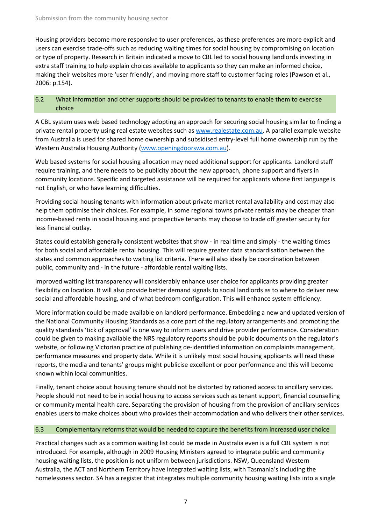Housing providers become more responsive to user preferences, as these preferences are more explicit and users can exercise trade-offs such as reducing waiting times for social housing by compromising on location or type of property. Research in Britain indicated a move to CBL led to social housing landlords investing in extra staff training to help explain choices available to applicants so they can make an informed choice, making their websites more 'user friendly', and moving more staff to customer facing roles [\(Pawson et al.,](#page-26-3)  [2006: p.154\)](#page-26-3).

### 6.2 What information and other supports should be provided to tenants to enable them to exercise choice

A CBL system uses web based technology adopting an approach for securing social housing similar to finding a private rental property using real estate websites such as [www.realestate.com.au.](http://www.realestate.com.au/) A parallel example website from Australia is used for shared home ownership and subsidised entry-level full home ownership run by the Western Australia Housing Authority [\(www.openingdoorswa.com.au\)](http://www.openingdoorswa.com.au/).

Web based systems for social housing allocation may need additional support for applicants. Landlord staff require training, and there needs to be publicity about the new approach, phone support and flyers in community locations. Specific and targeted assistance will be required for applicants whose first language is not English, or who have learning difficulties.

Providing social housing tenants with information about private market rental availability and cost may also help them optimise their choices. For example, in some regional towns private rentals may be cheaper than income-based rents in social housing and prospective tenants may choose to trade off greater security for less financial outlay.

States could establish generally consistent websites that show - in real time and simply - the waiting times for both social and affordable rental housing. This will require greater data standardisation between the states and common approaches to waiting list criteria. There will also ideally be coordination between public, community and - in the future - affordable rental waiting lists.

Improved waiting list transparency will considerably enhance user choice for applicants providing greater flexibility on location. It will also provide better demand signals to social landlords as to where to deliver new social and affordable housing, and of what bedroom configuration. This will enhance system efficiency.

More information could be made available on landlord performance. Embedding a new and updated version of the National Community Housing Standards as a core part of the regulatory arrangements and promoting the quality standards 'tick of approval' is one way to inform users and drive provider performance. Consideration could be given to making available the NRS regulatory reports should be public documents on the regulator's website, or following Victorian practice of publishing de-identified information on complaints management, performance measures and property data. While it is unlikely most social housing applicants will read these reports, the media and tenants' groups might publicise excellent or poor performance and this will become known within local communities.

Finally, tenant choice about housing tenure should not be distorted by rationed access to ancillary services. People should not need to be in social housing to access services such as tenant support, financial counselling or community mental health care. Separating the provision of housing from the provision of ancillary services enables users to make choices about who provides their accommodation and who delivers their other services.

### 6.3 Complementary reforms that would be needed to capture the benefits from increased user choice

Practical changes such as a common waiting list could be made in Australia even is a full CBL system is not introduced. For example, although in 2009 Housing Ministers agreed to integrate public and community housing waiting lists, the position is not uniform between jurisdictions. NSW, Queensland Western Australia, the ACT and Northern Territory have integrated waiting lists, with Tasmania's including the homelessness sector. SA has a register that integrates multiple community housing waiting lists into a single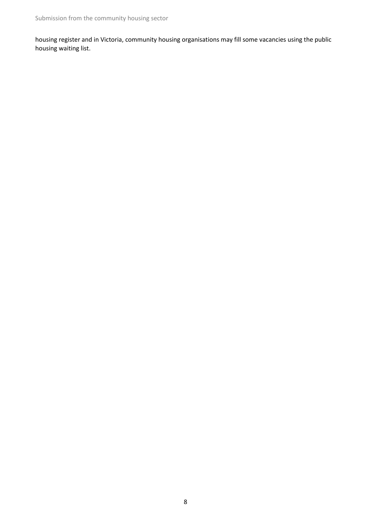housing register and in Victoria, community housing organisations may fill some vacancies using the public housing waiting list.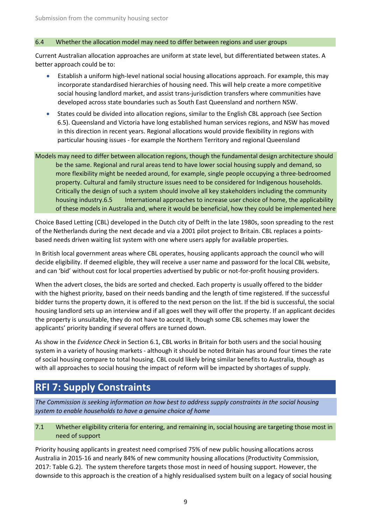### 6.4 Whether the allocation model may need to differ between regions and user groups

Current Australian allocation approaches are uniform at state level, but differentiated between states. A better approach could be to:

- Establish a uniform high-level national social housing allocations approach. For example, this may incorporate standardised hierarchies of housing need. This will help create a more competitive social housing landlord market, and assist trans-jurisdiction transfers where communities have developed across state boundaries such as South East Queensland and northern NSW.
- States could be divided into allocation regions, similar to the English CBL approach (see Section 6.5). Queensland and Victoria have long established human services regions, and NSW has moved in this direction in recent years. Regional allocations would provide flexibility in regions with particular housing issues - for example the Northern Territory and regional Queensland
- Models may need to differ between allocation regions, though the fundamental design architecture should be the same. Regional and rural areas tend to have lower social housing supply and demand, so more flexibility might be needed around, for example, single people occupying a three-bedroomed property. Cultural and family structure issues need to be considered for Indigenous households. Critically the design of such a system should involve all key stakeholders including the community housing industry.6.5 International approaches to increase user choice of home, the applicability of these models in Australia and, where it would be beneficial, how they could be implemented here

Choice Based Letting (CBL) developed in the Dutch city of Delft in the late 1980s, soon spreading to the rest of the Netherlands during the next decade and via a 2001 pilot project to Britain. CBL replaces a pointsbased needs driven waiting list system with one where users apply for available properties.

In British local government areas where CBL operates, housing applicants approach the council who will decide eligibility. If deemed eligible, they will receive a user name and password for the local CBL website, and can 'bid' without cost for local properties advertised by public or not-for-profit housing providers.

When the advert closes, the bids are sorted and checked. Each property is usually offered to the bidder with the highest priority, based on their needs banding and the length of time registered. If the successful bidder turns the property down, it is offered to the next person on the list. If the bid is successful, the social housing landlord sets up an interview and if all goes well they will offer the property. If an applicant decides the property is unsuitable, they do not have to accept it, though some CBL schemes may lower the applicants' priority banding if several offers are turned down.

As show in the *Evidence Check* in Section 6.1, CBL works in Britain for both users and the social housing system in a variety of housing markets - although it should be noted Britain has around four times the rate of social housing compare to total housing. CBL could likely bring similar benefits to Australia, though as with all approaches to social housing the impact of reform will be impacted by shortages of supply.

# **RFI 7: Supply Constraints**

*The Commission is seeking information on how best to address supply constraints in the social housing system to enable households to have a genuine choice of home*

### 7.1 Whether eligibility criteria for entering, and remaining in, social housing are targeting those most in need of support

Priority housing applicants in greatest need comprised 75% of new public housing allocations across Australia in 2015-16 and nearly 84% of new community housing allocations [\(Productivity Commission,](#page-26-0)  [2017: Table G.2\)](#page-26-0). The system therefore targets those most in need of housing support. However, the downside to this approach is the creation of a highly residualised system built on a legacy of social housing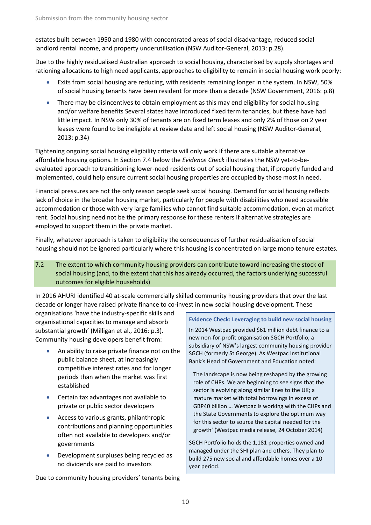estates built between 1950 and 1980 with concentrated areas of social disadvantage, reduced social landlord rental income, and property underutilisation [\(NSW Auditor-General, 2013: p.28\)](#page-25-4).

Due to the highly residualised Australian approach to social housing, characterised by supply shortages and rationing allocations to high need applicants, approaches to eligibility to remain in social housing work poorly:

- Exits from social housing are reducing, with residents remaining longer in the system. In NSW, 50% of social housing tenants have been resident for more than a decade [\(NSW Government, 2016: p.8\)](#page-25-0)
- There may be disincentives to obtain employment as this may end eligibility for social housing and/or welfare benefits Several states have introduced fixed term tenancies, but these have had little impact. In NSW only 30% of tenants are on fixed term leases and only 2% of those on 2 year leases were found to be ineligible at review date and left social housing [\(NSW Auditor-General,](#page-25-4)  [2013: p.34\)](#page-25-4)

Tightening ongoing social housing eligibility criteria will only work if there are suitable alternative affordable housing options. In Section 7.4 below the *Evidence Check* illustrates the NSW yet-to-beevaluated approach to transitioning lower-need residents out of social housing that, if properly funded and implemented, could help ensure current social housing properties are occupied by those most in need.

Financial pressures are not the only reason people seek social housing. Demand for social housing reflects lack of choice in the broader housing market, particularly for people with disabilities who need accessible accommodation or those with very large families who cannot find suitable accommodation, even at market rent. Social housing need not be the primary response for these renters if alternative strategies are employed to support them in the private market.

Finally, whatever approach is taken to eligibility the consequences of further residualisation of social housing should not be ignored particularly where this housing is concentrated on large mono tenure estates.

7.2 The extent to which community housing providers can contribute toward increasing the stock of social housing (and, to the extent that this has already occurred, the factors underlying successful outcomes for eligible households)

In 2016 AHURI identified 40 at-scale commercially skilled community housing providers that over the last decade or longer have raised private finance to co-invest in new social housing development. These

organisations 'have the industry-specific skills and organisational capacities to manage and absorb substantial growth' [\(Milligan et al., 2016: p.3\)](#page-25-5). Community housing developers benefit from:

- An ability to raise private finance not on the public balance sheet, at increasingly competitive interest rates and for longer periods than when the market was first established
- Certain tax advantages not available to private or public sector developers
- Access to various grants, philanthropic contributions and planning opportunities often not available to developers and/or governments
- Development surpluses being recycled as no dividends are paid to investors

Due to community housing providers' tenants being

### **Evidence Check: Leveraging to build new social housing**

In 2014 Westpac provided \$61 million debt finance to a new non-for-profit organisation SGCH Portfolio, a subsidiary of NSW's largest community housing provider SGCH (formerly St George). As Westpac Institutional Bank's Head of Government and Education noted:

The landscape is now being reshaped by the growing role of CHPs. We are beginning to see signs that the sector is evolving along similar lines to the UK; a mature market with total borrowings in excess of GBP40 billion … Westpac is working with the CHPs and the State Governments to explore the optimum way for this sector to source the capital needed for the growth' (Westpac media release, 24 October 2014)

SGCH Portfolio holds the 1,181 properties owned and managed under the SHI plan and others. They plan to build 275 new social and affordable homes over a 10 year period.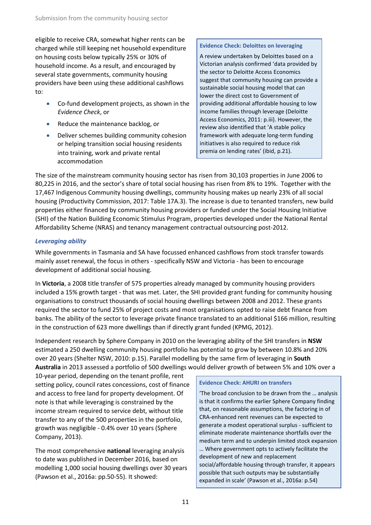eligible to receive CRA, somewhat higher rents can be charged while still keeping net household expenditure on housing costs below typically 25% or 30% of household income. As a result, and encouraged by several state governments, community housing providers have been using these additional cashflows to:

- Co-fund development projects, as shown in the *Evidence Check*, or
- Reduce the maintenance backlog, or
- Deliver schemes building community cohesion or helping transition social housing residents into training, work and private rental accommodation

### **Evidence Check: Deloittes on leveraging**

A review undertaken by Deloittes based on a Victorian analysis confirmed 'data provided by the sector to Deloitte Access Economics suggest that community housing can provide a sustainable social housing model that can lower the direct cost to Government of providing additional affordable housing to low income families through leverage [\(Deloitte](#page-25-7)  [Access Economics, 2011: p.iii\)](#page-25-7). However, the review also identified that 'A stable policy framework with adequate long-term funding initiatives is also required to reduce risk premia on lending rates' (ibid, p.21).

The size of the mainstream community housing sector has risen from 30,103 properties in June 2006 to 80,225 in 2016, and the sector's share of total social housing has risen from 8% to 19%. Together with the 17,467 Indigenous Community housing dwellings, community housing makes up nearly 23% of all social housing [\(Productivity Commission, 2017: Table 17A.3\)](#page-26-0). The increase is due to tenanted transfers, new build properties either financed by community housing providers or funded under the Social Housing Initiative (SHI) of the Nation Building Economic Stimulus Program, properties developed under the National Rental Affordability Scheme (NRAS) and tenancy management contractual outsourcing post-2012.

### *Leveraging ability*

While governments in Tasmania and SA have focussed enhanced cashflows from stock transfer towards mainly asset renewal, the focus in others - specifically NSW and Victoria - has been to encourage development of additional social housing.

In **Victoria**, a 2008 title transfer of 575 properties already managed by community housing providers included a 15% growth target - that was met. Later, the SHI provided grant funding for community housing organisations to construct thousands of social housing dwellings between 2008 and 2012. These grants required the sector to fund 25% of project costs and most organisations opted to raise debt finance from banks. The ability of the sector to leverage private finance translated to an additional \$166 million, resulting in the construction of 623 more dwellings than if directly grant funded [\(KPMG, 2012\)](#page-25-6).

Independent research by Sphere Company in 2010 on the leveraging ability of the SHI transfers in **NSW** estimated a 250 dwelling community housing portfolio has potential to grow by between 10.8% and 20% over 20 years [\(Shelter NSW, 2010: p.15\)](#page-26-4). Parallel modelling by the same firm of leveraging in **South Australia** in 2013 assessed a portfolio of 500 dwellings would deliver growth of between 5% and 10% over a

10-year period, depending on the tenant profile, rent setting policy, council rates concessions, cost of finance and access to free land for property development. Of note is that while leveraging is constrained by the income stream required to service debt, without title transfer to any of the 500 properties in the portfolio, growth was negligible - 0.4% over 10 years [\(Sphere](#page-26-5)  [Company, 2013\)](#page-26-5).

The most comprehensive **national** leveraging analysis to date was published in December 2016, based on modelling 1,000 social housing dwellings over 30 years [\(Pawson et al., 2016a: pp.50-55\)](#page-26-6). It showed:

### **Evidence Check: AHURI on transfers**

'The broad conclusion to be drawn from the … analysis is that it confirms the earlier Sphere Company finding that, on reasonable assumptions, the factoring in of CRA-enhanced rent revenues can be expected to generate a modest operational surplus - sufficient to eliminate moderate maintenance shortfalls over the medium term and to underpin limited stock expansion … Where government opts to actively facilitate the development of new and replacement social/affordable housing through transfer, it appears possible that such outputs may be substantially expanded in scale' [\(Pawson et al., 2016a: p.54\)](#page-26-6)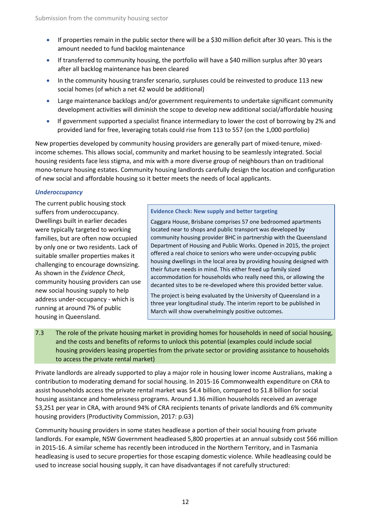- If properties remain in the public sector there will be a \$30 million deficit after 30 years. This is the amount needed to fund backlog maintenance
- If transferred to community housing, the portfolio will have a \$40 million surplus after 30 years after all backlog maintenance has been cleared
- In the community housing transfer scenario, surpluses could be reinvested to produce 113 new social homes (of which a net 42 would be additional)
- Large maintenance backlogs and/or government requirements to undertake significant community development activities will diminish the scope to develop new additional social/affordable housing
- If government supported a specialist finance intermediary to lower the cost of borrowing by 2% and provided land for free, leveraging totals could rise from 113 to 557 (on the 1,000 portfolio)

New properties developed by community housing providers are generally part of mixed-tenure, mixedincome schemes. This allows social, community and market housing to be seamlessly integrated. Social housing residents face less stigma, and mix with a more diverse group of neighbours than on traditional mono-tenure housing estates. Community housing landlords carefully design the location and configuration of new social and affordable housing so it better meets the needs of local applicants.

### *Underoccupancy*

The current public housing stock suffers from underoccupancy. Dwellings built in earlier decades were typically targeted to working families, but are often now occupied by only one or two residents. Lack of suitable smaller properties makes it challenging to encourage downsizing. As shown in the *Evidence Check*, community housing providers can use new social housing supply to help address under-occupancy - which is running at around 7% of public housing in Queensland.

### **Evidence Check: New supply and better targeting**

Caggara House, Brisbane comprises 57 one bedroomed apartments located near to shops and public transport was developed by community housing provider BHC in partnership with the Queensland Department of Housing and Public Works. Opened in 2015, the project offered a real choice to seniors who were under-occupying public housing dwellings in the local area by providing housing designed with their future needs in mind. This either freed up family sized accommodation for households who really need this, or allowing the decanted sites to be re-developed where this provided better value.

The project is being evaluated by the University of Queensland in a three year longitudinal study. The interim report to be published in March will show overwhelmingly positive outcomes.

7.3 The role of the private housing market in providing homes for households in need of social housing, and the costs and benefits of reforms to unlock this potential (examples could include social housing providers leasing properties from the private sector or providing assistance to households to access the private rental market)

Private landlords are already supported to play a major role in housing lower income Australians, making a contribution to moderating demand for social housing. In 2015-16 Commonwealth expenditure on CRA to assist households access the private rental market was \$4.4 billion, compared to \$1.8 billion for social housing assistance and homelessness programs. Around 1.36 million households received an average \$3,251 per year in CRA, with around 94% of CRA recipients tenants of private landlords and 6% community housing providers [\(Productivity Commission, 2017: p.G3\)](#page-26-0)

Community housing providers in some states headlease a portion of their social housing from private landlords. For example, NSW Government headleased 5,800 properties at an annual subsidy cost \$66 million in 2015-16. A similar scheme has recently been introduced in the Northern Territory, and in Tasmania headleasing is used to secure properties for those escaping domestic violence. While headleasing could be used to increase social housing supply, it can have disadvantages if not carefully structured: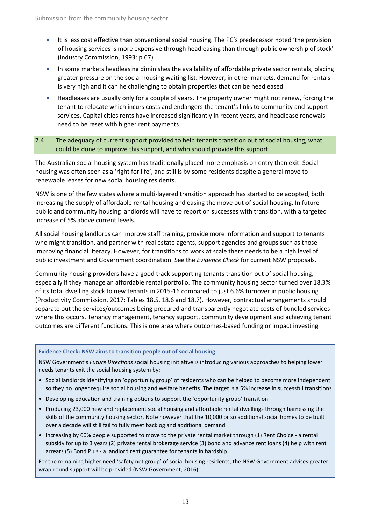- It is less cost effective than conventional social housing. The PC's predecessor noted 'the provision of housing services is more expensive through headleasing than through public ownership of stock' [\(Industry Commission, 1993: p.67\)](#page-25-8)
- In some markets headleasing diminishes the availability of affordable private sector rentals, placing greater pressure on the social housing waiting list. However, in other markets, demand for rentals is very high and it can he challenging to obtain properties that can be headleased
- Headleases are usually only for a couple of years. The property owner might not renew, forcing the tenant to relocate which incurs costs and endangers the tenant's links to community and support services. Capital cities rents have increased significantly in recent years, and headlease renewals need to be reset with higher rent payments

### 7.4 The adequacy of current support provided to help tenants transition out of social housing, what could be done to improve this support, and who should provide this support

The Australian social housing system has traditionally placed more emphasis on entry than exit. Social housing was often seen as a 'right for life', and still is by some residents despite a general move to renewable leases for new social housing residents.

NSW is one of the few states where a multi-layered transition approach has started to be adopted, both increasing the supply of affordable rental housing and easing the move out of social housing. In future public and community housing landlords will have to report on successes with transition, with a targeted increase of 5% above current levels.

All social housing landlords can improve staff training, provide more information and support to tenants who might transition, and partner with real estate agents, support agencies and groups such as those improving financial literacy. However, for transitions to work at scale there needs to be a high level of public investment and Government coordination. See the *Evidence Check* for current NSW proposals.

Community housing providers have a good track supporting tenants transition out of social housing, especially if they manage an affordable rental portfolio. The community housing sector turned over 18.3% of its total dwelling stock to new tenants in 2015-16 compared to just 6.6% turnover in public housing [\(Productivity Commission, 2017: Tables 18.5, 18.6 and 18.7\)](#page-26-0). However, contractual arrangements should separate out the services/outcomes being procured and transparently negotiate costs of bundled services where this occurs. Tenancy management, tenancy support, community development and achieving tenant outcomes are different functions. This is one area where outcomes-based funding or impact investing

### **Evidence Check: NSW aims to transition people out of social housing**

NSW Government's *Future Directions* social housing initiative is introducing various approaches to helping lower needs tenants exit the social housing system by:

- Social landlords identifying an 'opportunity group' of residents who can be helped to become more independent so they no longer require social housing and welfare benefits. The target is a 5% increase in successful transitions
- Developing education and training options to support the 'opportunity group' transition
- Producing 23,000 new and replacement social housing and affordable rental dwellings through harnessing the skills of the community housing sector. Note however that the 10,000 or so additional social homes to be built over a decade will still fail to fully meet backlog and additional demand
- Increasing by 60% people supported to move to the private rental market through (1) Rent Choice a rental subsidy for up to 3 years (2) private rental brokerage service (3) bond and advance rent loans (4) help with rent arrears (5) Bond Plus - a landlord rent guarantee for tenants in hardship

For the remaining higher need 'safety net group' of social housing residents, the NSW Government advises greater wrap-round support will be provided (NSW Government, 2016).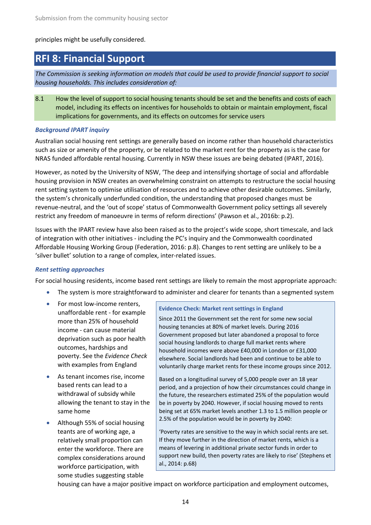### principles might be usefully considered.

### **RFI 8: Financial Support**

*The Commission is seeking information on models that could be used to provide financial support to social housing households. This includes consideration of:*

8.1 How the level of support to social housing tenants should be set and the benefits and costs of each model, including its effects on incentives for households to obtain or maintain employment, fiscal implications for governments, and its effects on outcomes for service users

### *Background IPART inquiry*

Australian social housing rent settings are generally based on income rather than household characteristics such as size or amenity of the property, or be related to the market rent for the property as is the case for NRAS funded affordable rental housing. Currently in NSW these issues are being debated [\(IPART, 2016\)](#page-25-9).

However, as noted by the University of NSW, 'The deep and intensifying shortage of social and affordable housing provision in NSW creates an overwhelming constraint on attempts to restructure the social housing rent setting system to optimise utilisation of resources and to achieve other desirable outcomes. Similarly, the system's chronically underfunded condition, the understanding that proposed changes must be revenue-neutral, and the 'out of scope' status of Commonwealth Government policy settings all severely restrict any freedom of manoeuvre in terms of reform directions' [\(Pawson et al., 2016b: p.2\)](#page-26-7).

Issues with the IPART review have also been raised as to the project's wide scope, short timescale, and lack of integration with other initiatives - including the PC's inquiry and the Commonwealth coordinated Affordable Housing Working Group [\(Federation, 2016: p.8\)](#page-25-10). Changes to rent setting are unlikely to be a 'silver bullet' solution to a range of complex, inter-related issues.

### *Rent setting approaches*

For social housing residents, income based rent settings are likely to remain the most appropriate approach:

- The system is more straightforward to administer and clearer for tenants than a segmented system
- For most low-income renters, unaffordable rent - for example more than 25% of household income - can cause material deprivation such as poor health outcomes, hardships and poverty. See the *Evidence Check* with examples from England
- As tenant incomes rise, income based rents can lead to a withdrawal of subsidy while allowing the tenant to stay in the same home
- Although 55% of social housing teants are of working age, a relatively small proportion can enter the workforce. There are complex considerations around workforce participation, with some studies suggesting stable

### **Evidence Check: Market rent settings in England**

Since 2011 the Government set the rent for some new social housing tenancies at 80% of market levels. During 2016 Government proposed but later abandoned a proposal to force social housing landlords to charge full market rents where household incomes were above £40,000 in London or £31,000 elsewhere. Social landlords had been and continue to be able to voluntarily charge market rents for these income groups since 2012.

Based on a longitudinal survey of 5,000 people over an 18 year period, and a projection of how their circumstances could change in the future, the researchers estimated 25% of the population would be in poverty by 2040. However, if social housing moved to rents being set at 65% market levels another 1.3 to 1.5 million people or 2.5% of the population would be in poverty by 2040:

'Poverty rates are sensitive to the way in which social rents are set. If they move further in the direction of market rents, which is a means of levering in additional private sector funds in order to support new build, then poverty rates are likely to rise' [\(Stephens et](#page-26-8)  [al., 2014: p.68\)](#page-26-8)

housing can have a major positive impact on workforce participation and employment outcomes,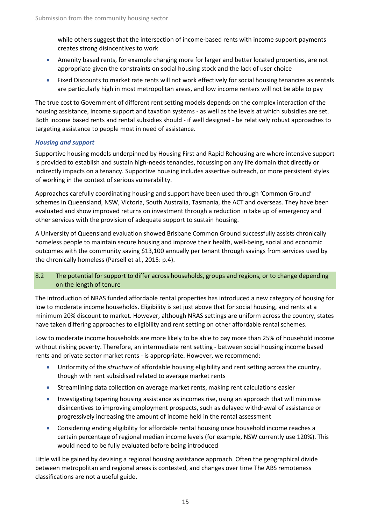while others suggest that the intersection of income-based rents with income support payments creates strong disincentives to work

- Amenity based rents, for example charging more for larger and better located properties, are not appropriate given the constraints on social housing stock and the lack of user choice
- Fixed Discounts to market rate rents will not work effectively for social housing tenancies as rentals are particularly high in most metropolitan areas, and low income renters will not be able to pay

The true cost to Government of different rent setting models depends on the complex interaction of the housing assistance, income support and taxation systems - as well as the levels at which subsidies are set. Both income based rents and rental subsidies should - if well designed - be relatively robust approaches to targeting assistance to people most in need of assistance.

### *Housing and support*

Supportive housing models underpinned by Housing First and Rapid Rehousing are where intensive support is provided to establish and sustain high-needs tenancies, focussing on any life domain that directly or indirectly impacts on a tenancy. Supportive housing includes assertive outreach, or more persistent styles of working in the context of serious vulnerability.

Approaches carefully coordinating housing and support have been used through 'Common Ground' schemes in Queensland, NSW, Victoria, South Australia, Tasmania, the ACT and overseas. They have been evaluated and show improved returns on investment through a reduction in take up of emergency and other services with the provision of adequate support to sustain housing.

A University of Queensland evaluation showed Brisbane Common Ground successfully assists chronically homeless people to maintain secure housing and improve their health, well-being, social and economic outcomes with the community saving \$13,100 annually per tenant through savings from services used by the chronically homeless [\(Parsell et al., 2015: p.4\)](#page-25-11).

### 8.2 The potential for support to differ across households, groups and regions, or to change depending on the length of tenure

The introduction of NRAS funded affordable rental properties has introduced a new category of housing for low to moderate income households. Eligibility is set just above that for social housing, and rents at a minimum 20% discount to market. However, although NRAS settings are uniform across the country, states have taken differing approaches to eligibility and rent setting on other affordable rental schemes.

Low to moderate income households are more likely to be able to pay more than 25% of household income without risking poverty. Therefore, an intermediate rent setting - between social housing income based rents and private sector market rents - is appropriate. However, we recommend:

- Uniformity of the *structure* of affordable housing eligibility and rent setting across the country, though with rent subsidised related to average market rents
- Streamlining data collection on average market rents, making rent calculations easier
- Investigating tapering housing assistance as incomes rise, using an approach that will minimise disincentives to improving employment prospects, such as delayed withdrawal of assistance or progressively increasing the amount of income held in the rental assessment
- Considering ending eligibility for affordable rental housing once household income reaches a certain percentage of regional median income levels (for example, NSW currently use 120%). This would need to be fully evaluated before being introduced

Little will be gained by devising a regional housing assistance approach. Often the geographical divide between metropolitan and regional areas is contested, and changes over time The ABS remoteness classifications are not a useful guide.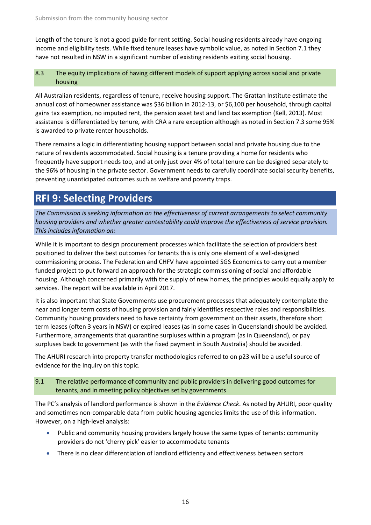Length of the tenure is not a good guide for rent setting. Social housing residents already have ongoing income and eligibility tests. While fixed tenure leases have symbolic value, as noted in Section 7.1 they have not resulted in NSW in a significant number of existing residents exiting social housing.

### 8.3 The equity implications of having different models of support applying across social and private housing

All Australian residents, regardless of tenure, receive housing support. The Grattan Institute estimate the annual cost of homeowner assistance was \$36 billion in 2012-13, or \$6,100 per household, through capital gains tax exemption, no imputed rent, the pension asset test and land tax exemption [\(Kell, 2013\)](#page-25-12). Most assistance is differentiated by tenure, with CRA a rare exception although as noted in Section 7.3 some 95% is awarded to private renter households.

There remains a logic in differentiating housing support between social and private housing due to the nature of residents accommodated. Social housing is a tenure providing a home for residents who frequently have support needs too, and at only just over 4% of total tenure can be designed separately to the 96% of housing in the private sector. Government needs to carefully coordinate social security benefits, preventing unanticipated outcomes such as welfare and poverty traps.

# **RFI 9: Selecting Providers**

*The Commission is seeking information on the effectiveness of current arrangements to select community housing providers and whether greater contestability could improve the effectiveness of service provision. This includes information on:*

While it is important to design procurement processes which facilitate the selection of providers best positioned to deliver the best outcomes for tenants this is only one element of a well-designed commissioning process. The Federation and CHFV have appointed SGS Economics to carry out a member funded project to put forward an approach for the strategic commissioning of social and affordable housing. Although concerned primarily with the supply of new homes, the principles would equally apply to services. The report will be available in April 2017.

It is also important that State Governments use procurement processes that adequately contemplate the near and longer term costs of housing provision and fairly identifies respective roles and responsibilities. Community housing providers need to have certainty from government on their assets, therefore short term leases (often 3 years in NSW) or expired leases (as in some cases in Queensland) should be avoided. Furthermore, arrangements that quarantine surpluses within a program (as in Queensland), or pay surpluses back to government (as with the fixed payment in South Australia) should be avoided.

The AHURI research into property transfer methodologies referred to on p23 will be a useful source of evidence for the Inquiry on this topic.

### 9.1 The relative performance of community and public providers in delivering good outcomes for tenants, and in meeting policy objectives set by governments

The PC's analysis of landlord performance is shown in the *Evidence Check*. As noted by AHURI, poor quality and sometimes non-comparable data from public housing agencies limits the use of this information. However, on a high-level analysis:

- Public and community housing providers largely house the same types of tenants: community providers do not 'cherry pick' easier to accommodate tenants
- There is no clear differentiation of landlord efficiency and effectiveness between sectors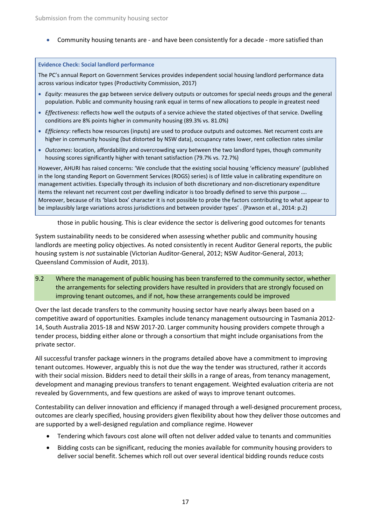• Community housing tenants are - and have been consistently for a decade - more satisfied than

### **Evidence Check: Social landlord performance**

The PC's annual Report on Government Services provides independent social housing landlord performance data across various indicator types [\(Productivity Commission, 2017\)](#page-26-0)

- *Equity*: measures the gap between service delivery outputs or outcomes for special needs groups and the general population. Public and community housing rank equal in terms of new allocations to people in greatest need
- *Effectiveness*: reflects how well the outputs of a service achieve the stated objectives of that service. Dwelling conditions are 8% points higher in community housing (89.3% vs. 81.0%)
- *Efficiency*: reflects how resources (inputs) are used to produce outputs and outcomes. Net recurrent costs are higher in community housing (but distorted by NSW data), occupancy rates lower, rent collection rates similar
- *Outcomes*: location, affordability and overcrowding vary between the two landlord types, though community housing scores significantly higher with tenant satisfaction (79.7% vs. 72.7%)

However, AHURI has raised concerns: 'We conclude that the existing social housing 'efficiency measure' (published in the long standing Report on Government Services (ROGS) series) is of little value in calibrating expenditure on management activities. Especially through its inclusion of both discretionary and non-discretionary expenditure items the relevant net recurrent cost per dwelling indicator is too broadly defined to serve this purpose …. Moreover, because of its 'black box' character it is not possible to probe the factors contributing to what appear to be implausibly large variations across jurisdictions and between provider types' . [\(Pawson et al., 2014: p.2\)](#page-26-11)

those in public housing. This is clear evidence the sector is delivering good outcomes for tenants

System sustainability needs to be considered when assessing whether public and community housing landlords are meeting policy objectives. As noted consistently in recent Auditor General reports, the public housing system is *not* sustainable [\(Victorian Auditor-General, 2012;](#page-26-9) [NSW Auditor-General, 2013;](#page-25-4) [Queensland Commission of Audit, 2013\)](#page-26-10).

9.2 Where the management of public housing has been transferred to the community sector, whether the arrangements for selecting providers have resulted in providers that are strongly focused on improving tenant outcomes, and if not, how these arrangements could be improved

Over the last decade transfers to the community housing sector have nearly always been based on a competitive award of opportunities. Examples include tenancy management outsourcing in Tasmania 2012- 14, South Australia 2015-18 and NSW 2017-20. Larger community housing providers compete through a tender process, bidding either alone or through a consortium that might include organisations from the private sector.

All successful transfer package winners in the programs detailed above have a commitment to improving tenant outcomes. However, arguably this is not due the way the tender was structured, rather it accords with their social mission. Bidders need to detail their skills in a range of areas, from tenancy management, development and managing previous transfers to tenant engagement. Weighted evaluation criteria are not revealed by Governments, and few questions are asked of ways to improve tenant outcomes.

Contestability can deliver innovation and efficiency if managed through a well-designed procurement process, outcomes are clearly specified, housing providers given flexibility about how they deliver those outcomes and are supported by a well-designed regulation and compliance regime. However

- Tendering which favours cost alone will often not deliver added value to tenants and communities
- Bidding costs can be significant, reducing the monies available for community housing providers to deliver social benefit. Schemes which roll out over several identical bidding rounds reduce costs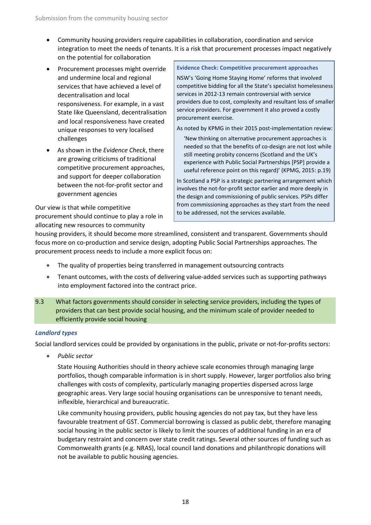- Community housing providers require capabilities in collaboration, coordination and service integration to meet the needs of tenants. It is a risk that procurement processes impact negatively on the potential for collaboration
- Procurement processes might override and undermine local and regional services that have achieved a level of decentralisation and local responsiveness. For example, in a vast State like Queensland, decentralisation and local responsiveness have created unique responses to very localised challenges
- As shown in the *Evidence Check*, there are growing criticisms of traditional competitive procurement approaches, and support for deeper collaboration between the not-for-profit sector and government agencies

Our view is that while competitive procurement should continue to play a role in allocating new resources to community

### **Evidence Check: Competitive procurement approaches**

NSW's 'Going Home Staying Home' reforms that involved competitive bidding for all the State's specialist homelessness services in 2012-13 remain controversial with service providers due to cost, complexity and resultant loss of smaller service providers. For government it also proved a costly procurement exercise.

As noted by KPMG in their 2015 post-implementation review:

'New thinking on alternative procurement approaches is needed so that the benefits of co-design are not lost while still meeting probity concerns (Scotland and the UK's experience with Public Social Partnerships [PSP] provide a useful reference point on this regard)' [\(KPMG, 2015: p.19\)](#page-25-13)

In Scotland a PSP is a strategic partnering arrangement which involves the not-for-profit sector earlier and more deeply in the design and commissioning of public services. PSPs differ from commissioning approaches as they start from the need to be addressed, not the services available.

housing providers, it should become more streamlined, consistent and transparent. Governments should focus more on co-production and service design, adopting Public Social Partnerships approaches. The procurement process needs to include a more explicit focus on:

- The quality of properties being transferred in management outsourcing contracts
- Tenant outcomes, with the costs of delivering value-added services such as supporting pathways into employment factored into the contract price.
- 9.3 What factors governments should consider in selecting service providers, including the types of providers that can best provide social housing, and the minimum scale of provider needed to efficiently provide social housing

### *Landlord types*

Social landlord services could be provided by organisations in the public, private or not-for-profits sectors:

• *Public sector*

State Housing Authorities should in theory achieve scale economies through managing large portfolios, though comparable information is in short supply. However, larger portfolios also bring challenges with costs of complexity, particularly managing properties dispersed across large geographic areas. Very large social housing organisations can be unresponsive to tenant needs, inflexible, hierarchical and bureaucratic.

Like community housing providers, public housing agencies do not pay tax, but they have less favourable treatment of GST. Commercial borrowing is classed as public debt, therefore managing social housing in the public sector is likely to limit the sources of additional funding in an era of budgetary restraint and concern over state credit ratings. Several other sources of funding such as Commonwealth grants (e.g. NRAS), local council land donations and philanthropic donations will not be available to public housing agencies.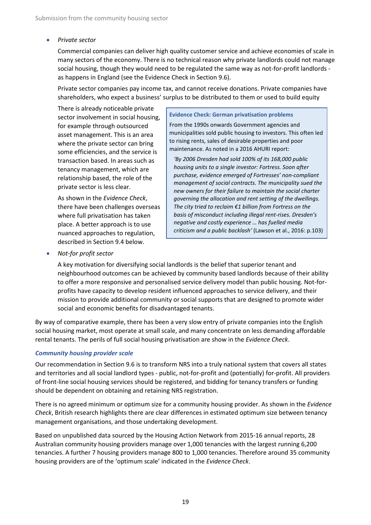### • *Private sector*

Commercial companies can deliver high quality customer service and achieve economies of scale in many sectors of the economy. There is no technical reason why private landlords could not manage social housing, though they would need to be regulated the same way as not-for-profit landlords as happens in England (see the Evidence Check in Section 9.6).

Private sector companies pay income tax, and cannot receive donations. Private companies have shareholders, who expect a business' surplus to be distributed to them or used to build equity

There is already noticeable private sector involvement in social housing, for example through outsourced asset management. This is an area where the private sector can bring some efficiencies, and the service is transaction based. In areas such as tenancy management, which are relationship based, the role of the private sector is less clear.

As shown in the *Evidence Check*, there have been challenges overseas where full privatisation has taken place. A better approach is to use nuanced approaches to regulation, described in Section 9.4 below.

#### **Evidence Check: German privatisation problems**

From the 1990s onwards Government agencies and municipalities sold public housing to investors. This often led to rising rents, sales of desirable properties and poor maintenance. As noted in a 2016 AHURI report:

*'By 2006 Dresden had sold 100% of its 168,000 public housing units to a single investor: Fortress. Soon after purchase, evidence emerged of Fortresses' non-compliant management of social contracts. The municipality sued the new owners for their failure to maintain the social charter governing the allocation and rent setting of the dwellings. The city tried to reclaim €1 billion from Fortress on the basis of misconduct including illegal rent-rises. Dresden's negative and costly experience … has fuelled media criticism and a public backlash'* [\(Lawson et al., 2016: p.103\)](#page-25-14)

• *Not-for profit sector*

A key motivation for diversifying social landlords is the belief that superior tenant and neighbourhood outcomes can be achieved by community based landlords because of their ability to offer a more responsive and personalised service delivery model than public housing. Not-forprofits have capacity to develop resident influenced approaches to service delivery, and their mission to provide additional community or social supports that are designed to promote wider social and economic benefits for disadvantaged tenants.

By way of comparative example, there has been a very slow entry of private companies into the English social housing market, most operate at small scale, and many concentrate on less demanding affordable rental tenants. The perils of full social housing privatisation are show in the *Evidence Check*.

### *Community housing provider scale*

Our recommendation in Section 9.6 is to transform NRS into a truly national system that covers all states and territories and all social landlord types - public, not-for-profit and (potentially) for-profit. All providers of front-line social housing services should be registered, and bidding for tenancy transfers or funding should be dependent on obtaining and retaining NRS registration.

There is no agreed minimum or optimum size for a community housing provider. As shown in the *Evidence Check*, British research highlights there are clear differences in estimated optimum size between tenancy management organisations, and those undertaking development.

Based on unpublished data sourced by the Housing Action Network from 2015-16 annual reports, 28 Australian community housing providers manage over 1,000 tenancies with the largest running 6,200 tenancies. A further 7 housing providers manage 800 to 1,000 tenancies. Therefore around 35 community housing providers are of the 'optimum scale' indicated in the *Evidence Check*.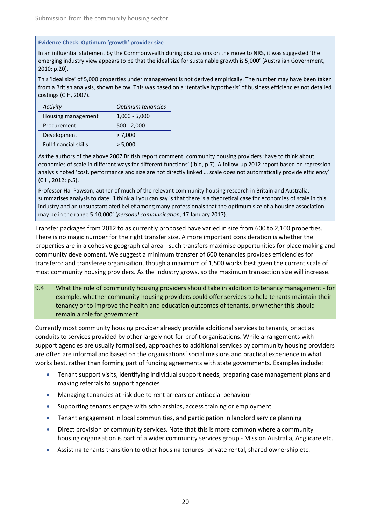### **Evidence Check: Optimum 'growth' provider size**

In an influential statement by the Commonwealth during discussions on the move to NRS, it was suggested 'the emerging industry view appears to be that the ideal size for sustainable growth is 5,000' [\(Australian Government,](#page-25-15)  [2010: p.20\)](#page-25-15).

This 'ideal size' of 5,000 properties under management is not derived empirically. The number may have been taken from a British analysis, shown below. This was based on a 'tentative hypothesis' of business efficiencies not detailed costings [\(CIH, 2007\)](#page-25-16).

| Activity                     | Optimum tenancies |
|------------------------------|-------------------|
| Housing management           | $1,000 - 5,000$   |
| Procurement                  | $500 - 2,000$     |
| Development                  | > 7,000           |
| <b>Full financial skills</b> | > 5,000           |

As the authors of the above 2007 British report comment, community housing providers 'have to think about economies of scale in different ways for different functions' (ibid, p.7). A follow-up 2012 report based on regression analysis noted 'cost, performance and size are not directly linked … scale does not automatically provide efficiency' [\(CIH, 2012: p.5\)](#page-25-17).

Professor Hal Pawson, author of much of the relevant community housing research in Britain and Australia, summarises analysis to date: 'I think all you can say is that there is a theoretical case for economies of scale in this industry and an unsubstantiated belief among many professionals that the optimum size of a housing association may be in the range 5-10,000' (*personal communication*, 17 January 2017).

Transfer packages from 2012 to as currently proposed have varied in size from 600 to 2,100 properties. There is no magic number for the right transfer size. A more important consideration is whether the properties are in a cohesive geographical area - such transfers maximise opportunities for place making and community development. We suggest a minimum transfer of 600 tenancies provides efficiencies for transferor and transferee organisation, though a maximum of 1,500 works best given the current scale of most community housing providers. As the industry grows, so the maximum transaction size will increase.

9.4 What the role of community housing providers should take in addition to tenancy management - for example, whether community housing providers could offer services to help tenants maintain their tenancy or to improve the health and education outcomes of tenants, or whether this should remain a role for government

Currently most community housing provider already provide additional services to tenants, or act as conduits to services provided by other largely not-for-profit organisations. While arrangements with support agencies are usually formalised, approaches to additional services by community housing providers are often are informal and based on the organisations' social missions and practical experience in what works best, rather than forming part of funding agreements with state governments. Examples include:

- Tenant support visits, identifying individual support needs, preparing case management plans and making referrals to support agencies
- Managing tenancies at risk due to rent arrears or antisocial behaviour
- Supporting tenants engage with scholarships, access training or employment
- Tenant engagement in local communities, and participation in landlord service planning
- Direct provision of community services. Note that this is more common where a community housing organisation is part of a wider community services group - Mission Australia, Anglicare etc.
- Assisting tenants transition to other housing tenures -private rental, shared ownership etc.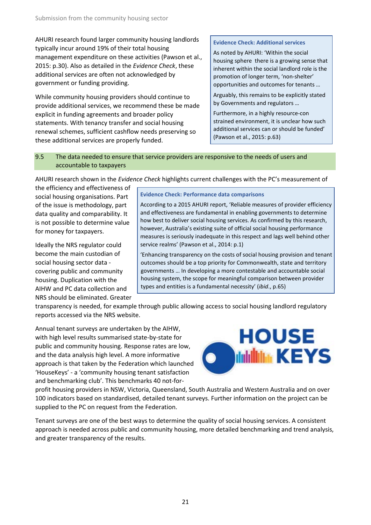AHURI research found larger community housing landlords typically incur around 19% of their total housing management expenditure on these activities [\(Pawson et al.,](#page-26-2)  [2015: p.30\)](#page-26-2). Also as detailed in the *Evidence Check*, these additional services are often not acknowledged by government or funding providing.

While community housing providers should continue to provide additional services, we recommend these be made explicit in funding agreements and broader policy statements. With tenancy transfer and social housing renewal schemes, sufficient cashflow needs preserving so these additional services are properly funded.

### **Evidence Check: Additional services**

As noted by AHURI: 'Within the social housing sphere there is a growing sense that inherent within the social landlord role is the promotion of longer term, 'non-shelter' opportunities and outcomes for tenants …

Arguably, this remains to be explicitly stated by Governments and regulators …

Furthermore, in a highly resource-con strained environment, it is unclear how such additional services can or should be funded' [\(Pawson et al., 2015: p.63\)](#page-26-2)

### 9.5 The data needed to ensure that service providers are responsive to the needs of users and accountable to taxpayers

AHURI research shown in the *Evidence Check* highlights current challenges with the PC's measurement of

the efficiency and effectiveness of social housing organisations. Part of the issue is methodology, part data quality and comparability. It is not possible to determine value for money for taxpayers.

Ideally the NRS regulator could become the main custodian of social housing sector data covering public and community housing. Duplication with the AIHW and PC data collection and NRS should be eliminated. Greater

### **Evidence Check: Performance data comparisons**

According to a 2015 AHURI report, 'Reliable measures of provider efficiency and effectiveness are fundamental in enabling governments to determine how best to deliver social housing services. As confirmed by this research, however, Australia's existing suite of official social housing performance measures is seriously inadequate in this respect and lags well behind other service realms' [\(Pawson et al., 2014: p.1\)](#page-26-11)

'Enhancing transparency on the costs of social housing provision and tenant outcomes should be a top priority for Commonwealth, state and territory governments … In developing a more contestable and accountable social housing system, the scope for meaningful comparison between provider types and entities is a fundamental necessity' (*ibid*., p.65)

transparency is needed, for example through public allowing access to social housing landlord regulatory reports accessed via the NRS website.

Annual tenant surveys are undertaken by the AIHW, with high level results summarised state-by-state for public and community housing. Response rates are low, and the data analysis high level. A more informative approach is that taken by the Federation which launched 'HouseKeys' - a 'community housing tenant satisfaction and benchmarking club'. This benchmarks 40 not-for-



profit housing providers in NSW, Victoria, Queensland, South Australia and Western Australia and on over 100 indicators based on standardised, detailed tenant surveys. Further information on the project can be supplied to the PC on request from the Federation.

Tenant surveys are one of the best ways to determine the quality of social housing services. A consistent approach is needed across public and community housing, more detailed benchmarking and trend analysis, and greater transparency of the results.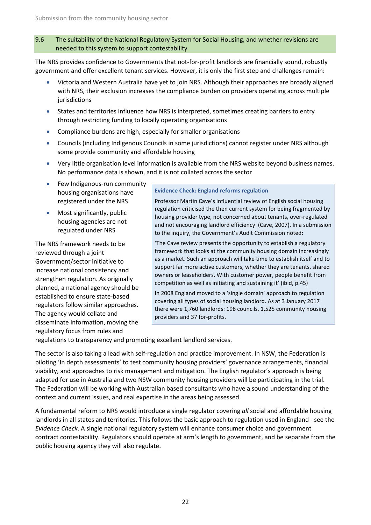### 9.6 The suitability of the National Regulatory System for Social Housing, and whether revisions are needed to this system to support contestability

The NRS provides confidence to Governments that not-for-profit landlords are financially sound, robustly government and offer excellent tenant services. However, it is only the first step and challenges remain:

- Victoria and Western Australia have yet to join NRS. Although their approaches are broadly aligned with NRS, their exclusion increases the compliance burden on providers operating across multiple jurisdictions
- States and territories influence how NRS is interpreted, sometimes creating barriers to entry through restricting funding to locally operating organisations
- Compliance burdens are high, especially for smaller organisations
- Councils (including Indigenous Councils in some jurisdictions) cannot register under NRS although some provide community and affordable housing
- Very little organisation level information is available from the NRS website beyond business names. No performance data is shown, and it is not collated across the sector
- Few Indigenous-run community housing organisations have registered under the NRS
- Most significantly, public housing agencies are not regulated under NRS

The NRS framework needs to be reviewed through a joint Government/sector initiative to increase national consistency and strengthen regulation. As originally planned, a national agency should be established to ensure state-based regulators follow similar approaches. The agency would collate and disseminate information, moving the regulatory focus from rules and

### **Evidence Check: England reforms regulation**

Professor Martin Cave's influential review of English social housing regulation criticised the then current system for being fragmented by housing provider type, not concerned about tenants, over-regulated and not encouraging landlord efficiency [\(Cave, 2007\)](#page-25-18). In a submission to the inquiry, the Government's Audit Commission noted:

'The Cave review presents the opportunity to establish a regulatory framework that looks at the community housing domain increasingly as a market. Such an approach will take time to establish itself and to support far more active customers, whether they are tenants, shared owners or leaseholders. With customer power, people benefit from competition as well as initiating and sustaining it' (ibid, p.45)

In 2008 England moved to a 'single domain' approach to regulation covering all types of social housing landlord. As at 3 January 2017 there were 1,760 landlords: 198 councils, 1,525 community housing providers and 37 for-profits.

regulations to transparency and promoting excellent landlord services.

The sector is also taking a lead with self-regulation and practice improvement. In NSW, the Federation is piloting 'In depth assessments' to test community housing providers' governance arrangements, financial viability, and approaches to risk management and mitigation. The English regulator's approach is being adapted for use in Australia and two NSW community housing providers will be participating in the trial. The Federation will be working with Australian based consultants who have a sound understanding of the context and current issues, and real expertise in the areas being assessed.

A fundamental reform to NRS would introduce a single regulator covering *all* social and affordable housing landlords in all states and territories. This follows the basic approach to regulation used in England - see the *Evidence Check*. A single national regulatory system will enhance consumer choice and government contract contestability. Regulators should operate at arm's length to government, and be separate from the public housing agency they will also regulate.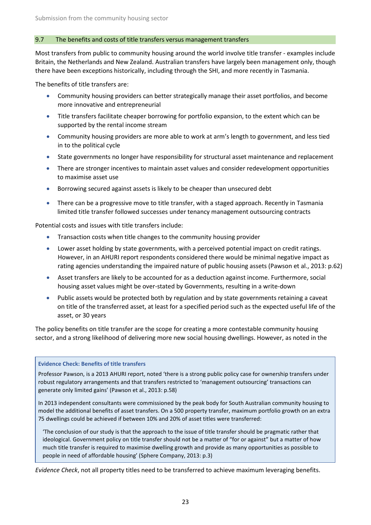### 9.7 The benefits and costs of title transfers versus management transfers

Most transfers from public to community housing around the world involve title transfer - examples include Britain, the Netherlands and New Zealand. Australian transfers have largely been management only, though there have been exceptions historically, including through the SHI, and more recently in Tasmania.

The benefits of title transfers are:

- Community housing providers can better strategically manage their asset portfolios, and become more innovative and entrepreneurial
- Title transfers facilitate cheaper borrowing for portfolio expansion, to the extent which can be supported by the rental income stream
- Community housing providers are more able to work at arm's length to government, and less tied in to the political cycle
- State governments no longer have responsibility for structural asset maintenance and replacement
- There are stronger incentives to maintain asset values and consider redevelopment opportunities to maximise asset use
- Borrowing secured against assets is likely to be cheaper than unsecured debt
- There can be a progressive move to title transfer, with a staged approach. Recently in Tasmania limited title transfer followed successes under tenancy management outsourcing contracts

Potential costs and issues with title transfers include:

- Transaction costs when title changes to the community housing provider
- Lower asset holding by state governments, with a perceived potential impact on credit ratings. However, in an AHURI report respondents considered there would be minimal negative impact as rating agencies understanding the impaired nature of public housing assets [\(Pawson et al., 2013: p.62\)](#page-26-12)
- Asset transfers are likely to be accounted for as a deduction against income. Furthermore, social housing asset values might be over-stated by Governments, resulting in a write-down
- Public assets would be protected both by regulation and by state governments retaining a caveat on title of the transferred asset, at least for a specified period such as the expected useful life of the asset, or 30 years

The policy benefits on title transfer are the scope for creating a more contestable community housing sector, and a strong likelihood of delivering more new social housing dwellings. However, as noted in the

### **Evidence Check: Benefits of title transfers**

Professor Pawson, is a 2013 AHURI report, noted 'there is a strong public policy case for ownership transfers under robust regulatory arrangements and that transfers restricted to 'management outsourcing' transactions can generate only limited gains' [\(Pawson et al., 2013: p.58\)](#page-26-12)

In 2013 independent consultants were commissioned by the peak body for South Australian community housing to model the additional benefits of asset transfers. On a 500 property transfer, maximum portfolio growth on an extra 75 dwellings could be achieved if between 10% and 20% of asset titles were transferred:

'The conclusion of our study is that the approach to the issue of title transfer should be pragmatic rather that ideological. Government policy on title transfer should not be a matter of "for or against" but a matter of how much title transfer is required to maximise dwelling growth and provide as many opportunities as possible to people in need of affordable housing' [\(Sphere Company, 2013: p.3\)](#page-26-5)

*Evidence Check*, not all property titles need to be transferred to achieve maximum leveraging benefits.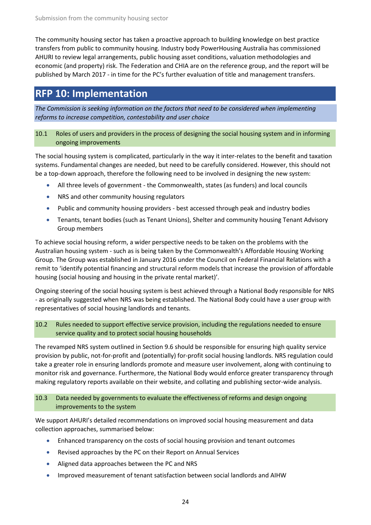The community housing sector has taken a proactive approach to building knowledge on best practice transfers from public to community housing. Industry body PowerHousing Australia has commissioned AHURI to review legal arrangements, public housing asset conditions, valuation methodologies and economic (and property) risk. The Federation and CHIA are on the reference group, and the report will be published by March 2017 - in time for the PC's further evaluation of title and management transfers.

## **RFP 10: Implementation**

*The Commission is seeking information on the factors that need to be considered when implementing reforms to increase competition, contestability and user choice*

### 10.1 Roles of users and providers in the process of designing the social housing system and in informing ongoing improvements

The social housing system is complicated, particularly in the way it inter-relates to the benefit and taxation systems. Fundamental changes are needed, but need to be carefully considered. However, this should not be a top-down approach, therefore the following need to be involved in designing the new system:

- All three levels of government the Commonwealth, states (as funders) and local councils
- NRS and other community housing regulators
- Public and community housing providers best accessed through peak and industry bodies
- Tenants, tenant bodies (such as Tenant Unions), Shelter and community housing Tenant Advisory Group members

To achieve social housing reform, a wider perspective needs to be taken on the problems with the Australian housing system - such as is being taken by the Commonwealth's Affordable Housing Working Group. The Group was established in January 2016 under the Council on Federal Financial Relations with a remit to 'identify potential financing and structural reform models that increase the provision of affordable housing (social housing and housing in the private rental market)'.

Ongoing steering of the social housing system is best achieved through a National Body responsible for NRS - as originally suggested when NRS was being established. The National Body could have a user group with representatives of social housing landlords and tenants.

### 10.2 Rules needed to support effective service provision, including the regulations needed to ensure service quality and to protect social housing households

The revamped NRS system outlined in Section 9.6 should be responsible for ensuring high quality service provision by public, not-for-profit and (potentially) for-profit social housing landlords. NRS regulation could take a greater role in ensuring landlords promote and measure user involvement, along with continuing to monitor risk and governance. Furthermore, the National Body would enforce greater transparency through making regulatory reports available on their website, and collating and publishing sector-wide analysis.

### 10.3 Data needed by governments to evaluate the effectiveness of reforms and design ongoing improvements to the system

We support AHURI's detailed recommendations on improved social housing measurement and data collection approaches, summarised below:

- Enhanced transparency on the costs of social housing provision and tenant outcomes
- Revised approaches by the PC on their Report on Annual Services
- Aligned data approaches between the PC and NRS
- Improved measurement of tenant satisfaction between social landlords and AIHW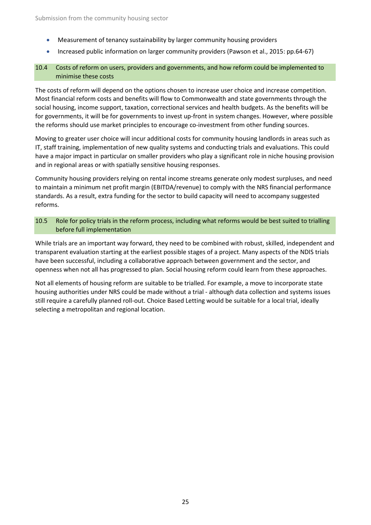- Measurement of tenancy sustainability by larger community housing providers
- Increased public information on larger community providers [\(Pawson et al., 2015: pp.64-67\)](#page-26-2)

### 10.4 Costs of reform on users, providers and governments, and how reform could be implemented to minimise these costs

The costs of reform will depend on the options chosen to increase user choice and increase competition. Most financial reform costs and benefits will flow to Commonwealth and state governments through the social housing, income support, taxation, correctional services and health budgets. As the benefits will be for governments, it will be for governments to invest up-front in system changes. However, where possible the reforms should use market principles to encourage co-investment from other funding sources.

Moving to greater user choice will incur additional costs for community housing landlords in areas such as IT, staff training, implementation of new quality systems and conducting trials and evaluations. This could have a major impact in particular on smaller providers who play a significant role in niche housing provision and in regional areas or with spatially sensitive housing responses.

Community housing providers relying on rental income streams generate only modest surpluses, and need to maintain a minimum net profit margin (EBITDA/revenue) to comply with the NRS financial performance standards. As a result, extra funding for the sector to build capacity will need to accompany suggested reforms.

### 10.5 Role for policy trials in the reform process, including what reforms would be best suited to trialling before full implementation

While trials are an important way forward, they need to be combined with robust, skilled, independent and transparent evaluation starting at the earliest possible stages of a project. Many aspects of the NDIS trials have been successful, including a collaborative approach between government and the sector, and openness when not all has progressed to plan. Social housing reform could learn from these approaches.

Not all elements of housing reform are suitable to be trialled. For example, a move to incorporate state housing authorities under NRS could be made without a trial - although data collection and systems issues still require a carefully planned roll-out. Choice Based Letting would be suitable for a local trial, ideally selecting a metropolitan and regional location.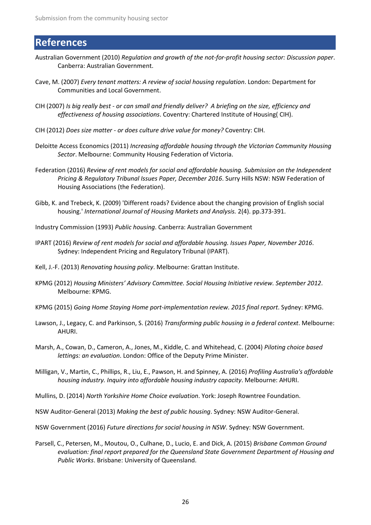# **References**

- <span id="page-25-15"></span>Australian Government (2010) *Regulation and growth of the not-for-profit housing sector: Discussion paper*. Canberra: Australian Government.
- <span id="page-25-18"></span>Cave, M. (2007) *Every tenant matters: A review of social housing regulation*. London: Department for Communities and Local Government.
- <span id="page-25-16"></span>CIH (2007) *Is big really best - or can small and friendly deliver? A briefing on the size, efficiency and effectiveness of housing associations*. Coventry: Chartered Institute of Housing( CIH).
- <span id="page-25-17"></span>CIH (2012) *Does size matter - or does culture drive value for money?* Coventry: CIH.
- <span id="page-25-7"></span>Deloitte Access Economics (2011) *Increasing affordable housing through the Victorian Community Housing Sector*. Melbourne: Community Housing Federation of Victoria.
- <span id="page-25-10"></span>Federation (2016) *Review of rent models for social and affordable housing. Submission on the Independent Pricing & Regulatory Tribunal Issues Paper, December 2016*. Surry Hills NSW: NSW Federation of Housing Associations (the Federation).
- <span id="page-25-1"></span>Gibb, K. and Trebeck, K. (2009) 'Different roads? Evidence about the changing provision of English social housing.' *International Journal of Housing Markets and Analysis.* 2(4). pp.373-391.
- <span id="page-25-8"></span>Industry Commission (1993) *Public housing*. Canberra: Australian Government
- <span id="page-25-9"></span>IPART (2016) *Review of rent models for social and affordable housing. Issues Paper, November 2016*. Sydney: Independent Pricing and Regulatory Tribunal (IPART).
- <span id="page-25-12"></span>Kell, J.-F. (2013) *Renovating housing policy*. Melbourne: Grattan Institute.
- <span id="page-25-6"></span>KPMG (2012) *Housing Ministers' Advisory Committee. Social Housing Initiative review. September 2012*. Melbourne: KPMG.
- <span id="page-25-13"></span>KPMG (2015) *Going Home Staying Home port-implementation review. 2015 final report*. Sydney: KPMG.
- <span id="page-25-14"></span>Lawson, J., Legacy, C. and Parkinson, S. (2016) *Transforming public housing in a federal context*. Melbourne: AHURI.
- <span id="page-25-2"></span>Marsh, A., Cowan, D., Cameron, A., Jones, M., Kiddle, C. and Whitehead, C. (2004) *Piloting choice based lettings: an evaluation*. London: Office of the Deputy Prime Minister.
- <span id="page-25-5"></span>Milligan, V., Martin, C., Phillips, R., Liu, E., Pawson, H. and Spinney, A. (2016) *Profiling Australia's affordable housing industry. Inquiry into affordable housing industry capacity*. Melbourne: AHURI.
- <span id="page-25-3"></span>Mullins, D. (2014) *North Yorkshire Home Choice evaluation*. York: Joseph Rowntree Foundation.

<span id="page-25-4"></span>NSW Auditor-General (2013) *Making the best of public housing*. Sydney: NSW Auditor-General.

<span id="page-25-0"></span>NSW Government (2016) *Future directions for social housing in NSW*. Sydney: NSW Government.

<span id="page-25-11"></span>Parsell, C., Petersen, M., Moutou, O., Culhane, D., Lucio, E. and Dick, A. (2015) *Brisbane Common Ground evaluation: final report prepared for the Queensland State Government Department of Housing and Public Works*. Brisbane: University of Queensland.